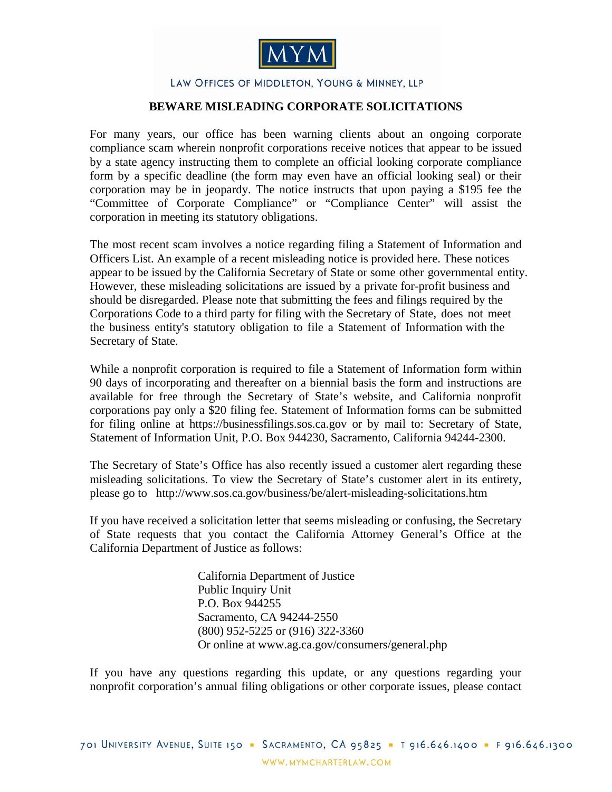

## LAW OFFICES OF MIDDLETON, YOUNG & MINNEY, LLP

## **BEWARE MISLEADING CORPORATE SOLICITATIONS**

For many years, our office has been warning clients about an ongoing corporate compliance scam wherein nonprofit corporations receive notices that appear to be issued by a state agency instructing them to complete an official looking corporate compliance form by a specific deadline (the form may even have an official looking seal) or their corporation may be in jeopardy. The notice instructs that upon paying a \$195 fee the "Committee of Corporate Compliance" or "Compliance Center" will assist the corporation in meeting its statutory obligations.

The most recent scam involves a notice regarding filing a Statement of Information and Officers List. An example of a recent misleading notice is provided [here](http://www.mymcharterlaw.com/pdf/Corp_Compliance_Scam_Example_Notice_091509.pdf). These notices appear to be issued by the California Secretary of State or some other governmental entity. However, these misleading solicitations are issued by a private for-profit business and should be disregarded. Please note that submitting the fees and filings required by the Corporations Code to a third party for filing with the Secretary of State, does not meet the business entity's statutory obligation to file a Statement of Information with the Secretary of State.

While a nonprofit corporation is required to file a Statement of Information form within 90 days of incorporating and thereafter on a biennial basis the form and instructions are available for free through the Secretary of State's website, and California nonprofit corporations pay only a \$20 filing fee. Statement of Information forms can be submitted for filing online at https://businessfilings.sos.ca.gov or by mail to: Secretary of State, Statement of Information Unit, P.O. Box 944230, Sacramento, California 94244-2300.

The Secretary of State's Office has also recently issued a customer alert regarding these misleading solicitations. To view the Secretary of State's customer alert in its entirety, please go to http://www.sos.ca.gov/business/be/alert-misleading-solicitations.htm

If you have received a solicitation letter that seems misleading or confusing, the Secretary of State requests that you contact the California Attorney General's Office at the California Department of Justice as follows:

> California Department of Justice Public Inquiry Unit P.O. Box 944255 Sacramento, CA 94244-2550 (800) 952-5225 or (916) 322-3360 Or online at www.ag.ca.gov/consumers/general.php

If you have any questions regarding this update, or any questions regarding your nonprofit corporation's annual filing obligations or other corporate issues, please contact